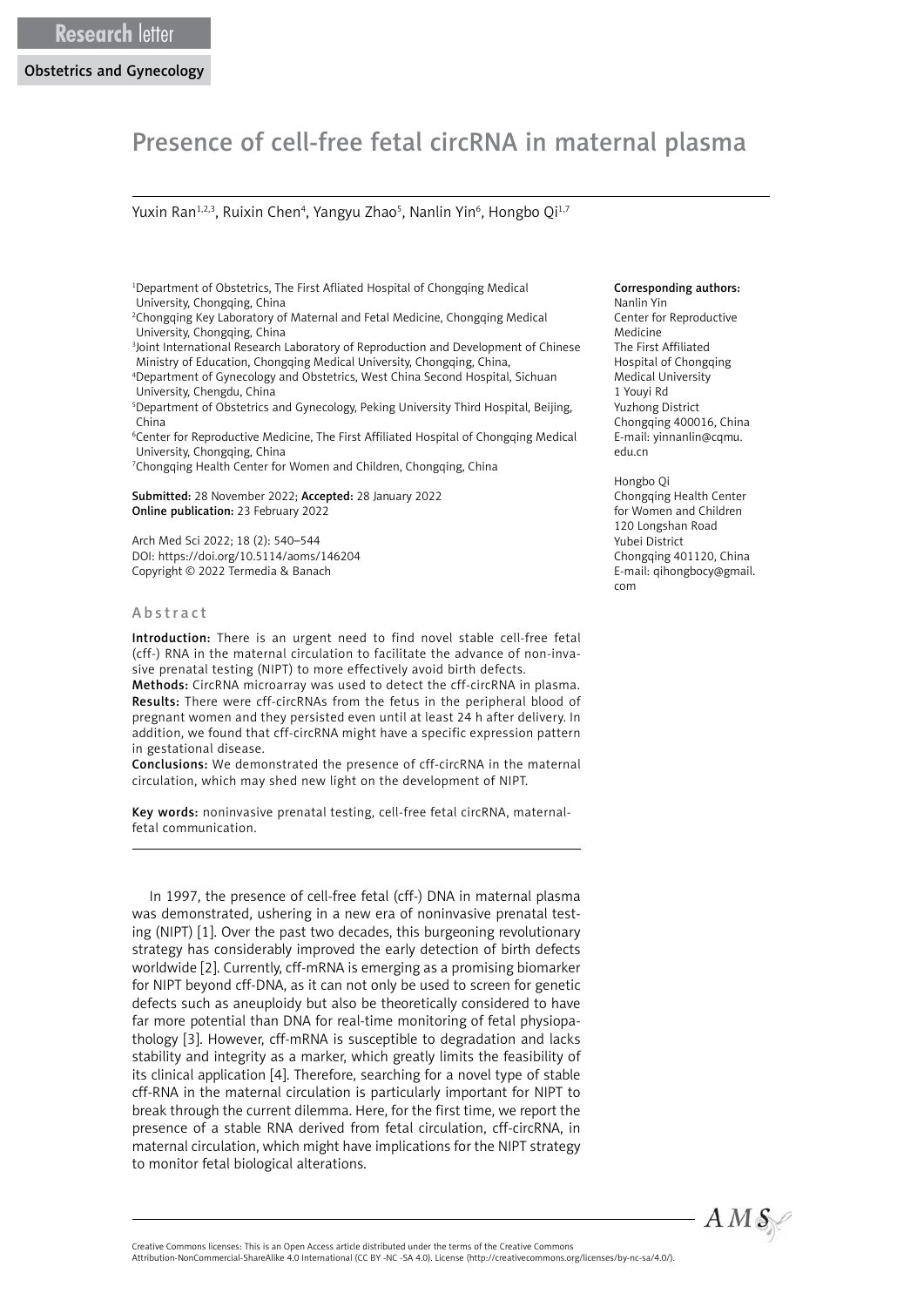# Presence of cell-free fetal circRNA in maternal plasma

Yuxin Ran<sup>1,2,3</sup>, Ruixin Chen<sup>4</sup>, Yangyu Zhao<sup>5</sup>, Nanlin Yin<sup>6</sup>, Hongbo Qi<sup>1,7</sup>

- 1 Department of Obstetrics, The First Afliated Hospital of Chongqing Medical University, Chongqing, China
- 2 Chongqing Key Laboratory of Maternal and Fetal Medicine, Chongqing Medical University, Chongqing, China
- 3 Joint International Research Laboratory of Reproduction and Development of Chinese Ministry of Education, Chongqing Medical University, Chongqing, China,
- 4 Department of Gynecology and Obstetrics, West China Second Hospital, Sichuan University, Chengdu, China
- 5 Department of Obstetrics and Gynecology, Peking University Third Hospital, Beijing, China
- 6 Center for Reproductive Medicine, The First Affiliated Hospital of Chongqing Medical University, Chongqing, China
- 7 Chongqing Health Center for Women and Children, Chongqing, China

Submitted: 28 November 2022; Accepted: 28 January 2022 Online publication: 23 February 2022

Arch Med Sci 2022; 18 (2): 540–544 DOI: https://doi.org/10.5114/aoms/146204 Copyright © 2022 Termedia & Banach

#### Abstract

Introduction: There is an urgent need to find novel stable cell-free fetal (cff-) RNA in the maternal circulation to facilitate the advance of non-invasive prenatal testing (NIPT) to more effectively avoid birth defects.

Methods: CircRNA microarray was used to detect the cff-circRNA in plasma. Results: There were cff-circRNAs from the fetus in the peripheral blood of pregnant women and they persisted even until at least 24 h after delivery. In addition, we found that cff-circRNA might have a specific expression pattern in gestational disease.

Conclusions: We demonstrated the presence of cff-circRNA in the maternal circulation, which may shed new light on the development of NIPT.

Key words: noninvasive prenatal testing, cell-free fetal circRNA, maternalfetal communication.

In 1997, the presence of cell-free fetal (cff-) DNA in maternal plasma was demonstrated, ushering in a new era of noninvasive prenatal testing (NIPT) [1]. Over the past two decades, this burgeoning revolutionary strategy has considerably improved the early detection of birth defects worldwide [2]. Currently, cff-mRNA is emerging as a promising biomarker for NIPT beyond cff-DNA, as it can not only be used to screen for genetic defects such as aneuploidy but also be theoretically considered to have far more potential than DNA for real-time monitoring of fetal physiopathology [3]. However, cff-mRNA is susceptible to degradation and lacks stability and integrity as a marker, which greatly limits the feasibility of its clinical application [4]. Therefore, searching for a novel type of stable cff-RNA in the maternal circulation is particularly important for NIPT to break through the current dilemma. Here, for the first time, we report the presence of a stable RNA derived from fetal circulation, cff-circRNA, in maternal circulation, which might have implications for the NIPT strategy to monitor fetal biological alterations.

#### Corresponding authors:

Nanlin Yin Center for Reproductive Medicine The First Affiliated Hospital of Chongqing Medical University 1 Youyi Rd Yuzhong District Chongqing 400016, China E-mail: yinnanlin@cqmu. edu.cn

Hongbo Qi Chongqing Health Center for Women and Children 120 Longshan Road Yubei District Chongqing 401120, China E-mail: qihongbocy@gmail. com



Attribution-NonCommercial-ShareAlike 4.0 International (CC BY -NC -SA 4.0). License (http://creativecommons.org/licenses/by-nc-sa/4.0/).

Creative Commons licenses: This is an Open Access article distributed under the terms of the Creative Commons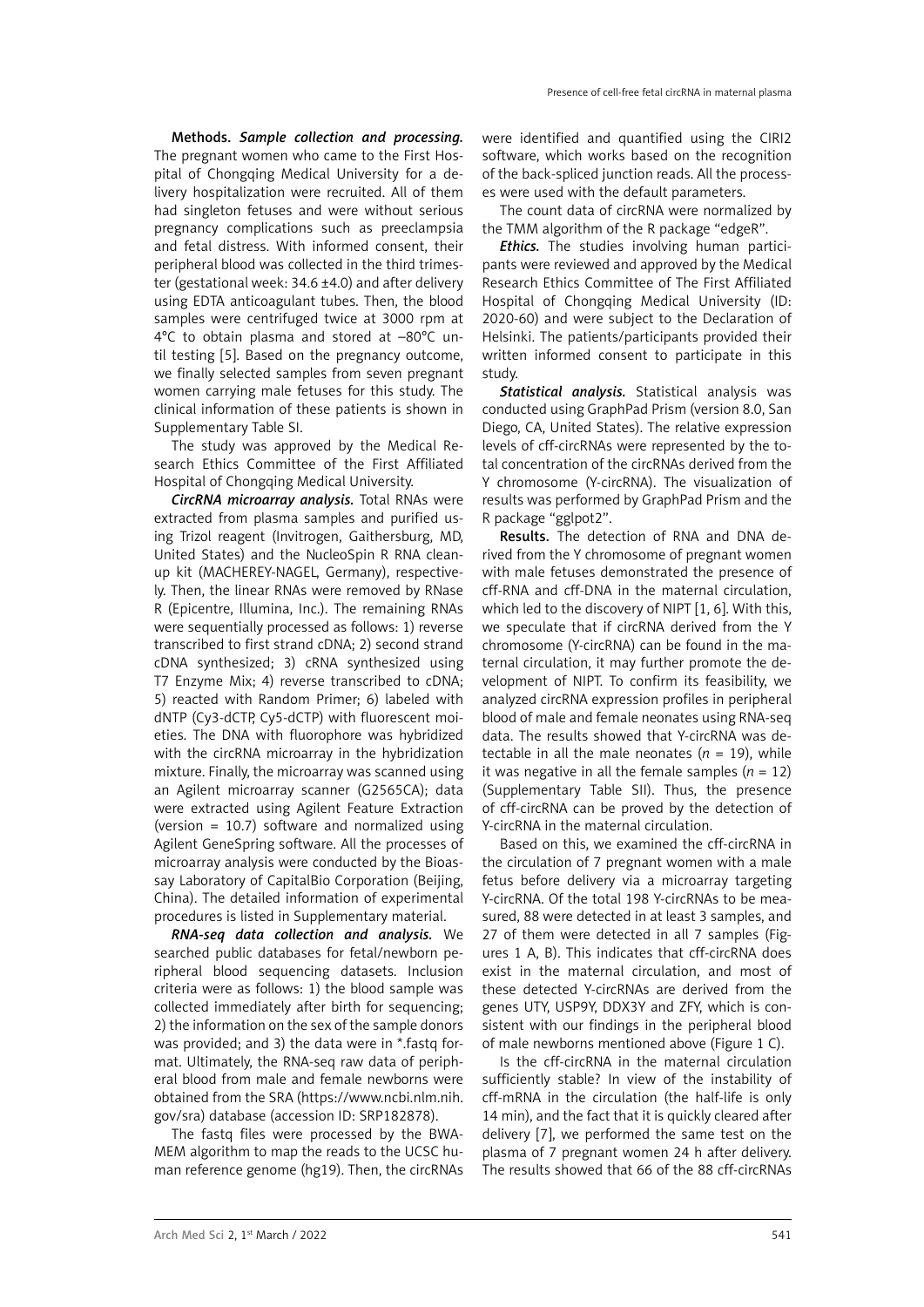Methods. *Sample collection and processing.* The pregnant women who came to the First Hospital of Chongqing Medical University for a delivery hospitalization were recruited. All of them had singleton fetuses and were without serious pregnancy complications such as preeclampsia and fetal distress. With informed consent, their peripheral blood was collected in the third trimester (gestational week: 34.6 ±4.0) and after delivery using EDTA anticoagulant tubes. Then, the blood samples were centrifuged twice at 3000 rpm at 4°C to obtain plasma and stored at –80°C until testing [5]. Based on the pregnancy outcome, we finally selected samples from seven pregnant women carrying male fetuses for this study. The clinical information of these patients is shown in Supplementary Table SI.

The study was approved by the Medical Research Ethics Committee of the First Affiliated Hospital of Chongqing Medical University.

*CircRNA microarray analysis.* Total RNAs were extracted from plasma samples and purified using Trizol reagent (Invitrogen, Gaithersburg, MD, United States) and the NucleoSpin R RNA cleanup kit (MACHEREY-NAGEL, Germany), respectively. Then, the linear RNAs were removed by RNase R (Epicentre, Illumina, Inc.). The remaining RNAs were sequentially processed as follows: 1) reverse transcribed to first strand cDNA; 2) second strand cDNA synthesized; 3) cRNA synthesized using T7 Enzyme Mix; 4) reverse transcribed to cDNA; 5) reacted with Random Primer; 6) labeled with dNTP (Cy3-dCTP, Cy5-dCTP) with fluorescent moieties. The DNA with fluorophore was hybridized with the circRNA microarray in the hybridization mixture. Finally, the microarray was scanned using an Agilent microarray scanner (G2565CA); data were extracted using Agilent Feature Extraction (version = 10.7) software and normalized using Agilent GeneSpring software. All the processes of microarray analysis were conducted by the Bioassay Laboratory of CapitalBio Corporation (Beijing, China). The detailed information of experimental procedures is listed in Supplementary material.

*RNA-seq data collection and analysis.* We searched public databases for fetal/newborn peripheral blood sequencing datasets. Inclusion criteria were as follows: 1) the blood sample was collected immediately after birth for sequencing; 2) the information on the sex of the sample donors was provided; and 3) the data were in \*.fastq format. Ultimately, the RNA-seq raw data of peripheral blood from male and female newborns were obtained from the SRA [\(https://www.ncbi.nlm.nih.](https://www.ncbi.nlm.nih.gov/sra) [gov/sra](https://www.ncbi.nlm.nih.gov/sra)) database (accession ID: SRP182878).

The fastq files were processed by the BWA-MEM algorithm to map the reads to the UCSC human reference genome (hg19). Then, the circRNAs were identified and quantified using the CIRI2 software, which works based on the recognition of the back-spliced junction reads. All the processes were used with the default parameters.

The count data of circRNA were normalized by the TMM algorithm of the R package "edgeR".

*Ethics.* The studies involving human participants were reviewed and approved by the Medical Research Ethics Committee of The First Affiliated Hospital of Chongqing Medical University (ID: 2020-60) and were subject to the Declaration of Helsinki. The patients/participants provided their written informed consent to participate in this study.

*Statistical analysis.* Statistical analysis was conducted using GraphPad Prism (version 8.0, San Diego, CA, United States). The relative expression levels of cff-circRNAs were represented by the total concentration of the circRNAs derived from the Y chromosome (Y-circRNA). The visualization of results was performed by GraphPad Prism and the R package "gglpot2".

Results. The detection of RNA and DNA derived from the Y chromosome of pregnant women with male fetuses demonstrated the presence of cff-RNA and cff-DNA in the maternal circulation, which led to the discovery of NIPT [1, 6]. With this, we speculate that if circRNA derived from the Y chromosome (Y-circRNA) can be found in the maternal circulation, it may further promote the development of NIPT. To confirm its feasibility, we analyzed circRNA expression profiles in peripheral blood of male and female neonates using RNA-seq data. The results showed that Y-circRNA was detectable in all the male neonates  $(n = 19)$ , while it was negative in all the female samples  $(n = 12)$ (Supplementary Table SII). Thus, the presence of cff-circRNA can be proved by the detection of Y-circRNA in the maternal circulation.

Based on this, we examined the cff-circRNA in the circulation of 7 pregnant women with a male fetus before delivery via a microarray targeting Y-circRNA. Of the total 198 Y-circRNAs to be measured, 88 were detected in at least 3 samples, and 27 of them were detected in all 7 samples (Figures 1 A, B). This indicates that cff-circRNA does exist in the maternal circulation, and most of these detected Y-circRNAs are derived from the genes UTY, USP9Y, DDX3Y and ZFY, which is consistent with our findings in the peripheral blood of male newborns mentioned above (Figure 1 C).

Is the cff-circRNA in the maternal circulation sufficiently stable? In view of the instability of cff-mRNA in the circulation (the half-life is only 14 min), and the fact that it is quickly cleared after delivery [7], we performed the same test on the plasma of 7 pregnant women 24 h after delivery. The results showed that 66 of the 88 cff-circRNAs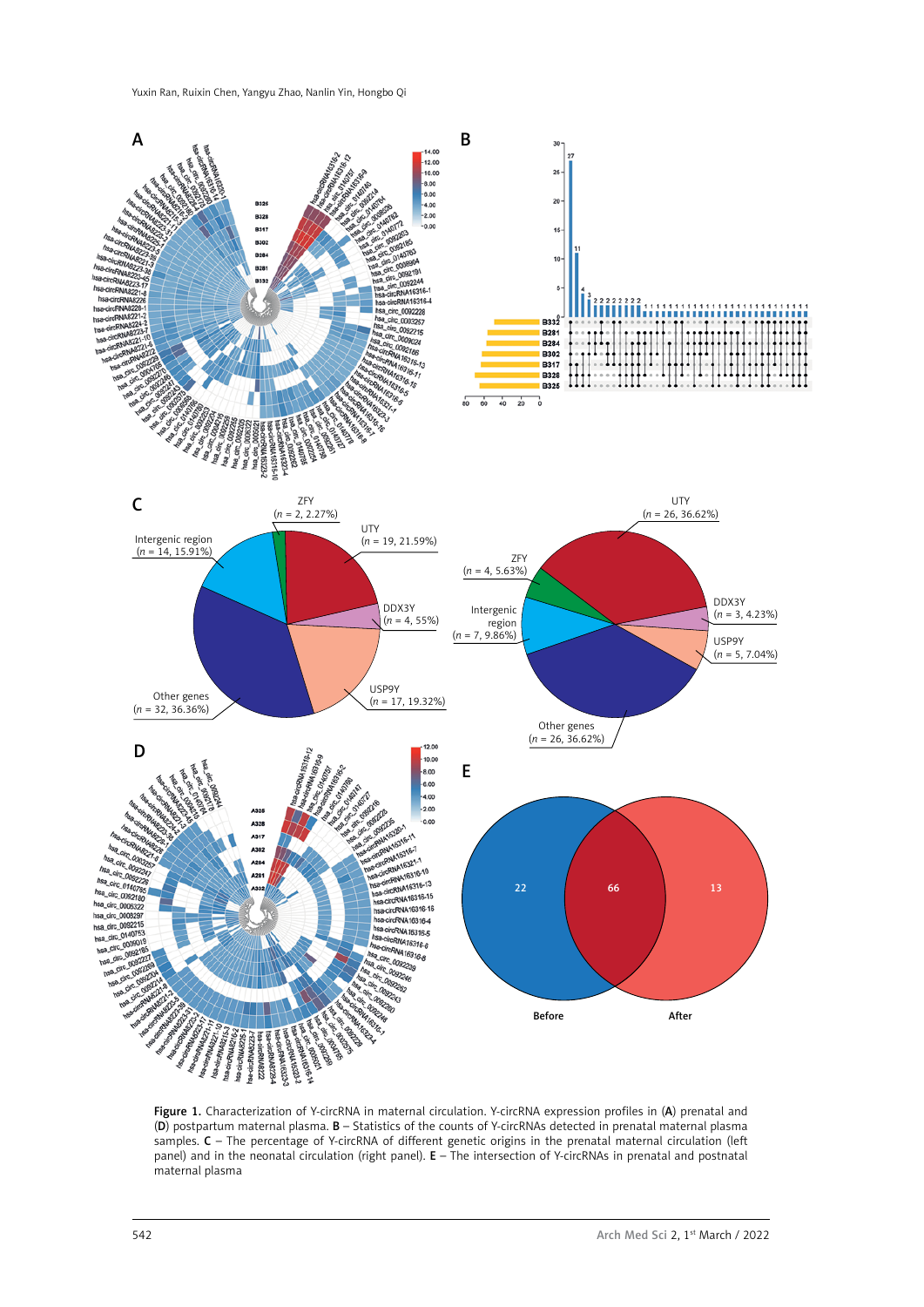

Figure 1. Characterization of Y-circRNA in maternal circulation. Y-circRNA expression profiles in (A) prenatal and (D) postpartum maternal plasma. B – Statistics of the counts of Y-circRNAs detected in prenatal maternal plasma samples. C - The percentage of Y-circRNA of different genetic origins in the prenatal maternal circulation (left panel) and in the neonatal circulation (right panel). E – The intersection of Y-circRNAs in prenatal and postnatal maternal plasma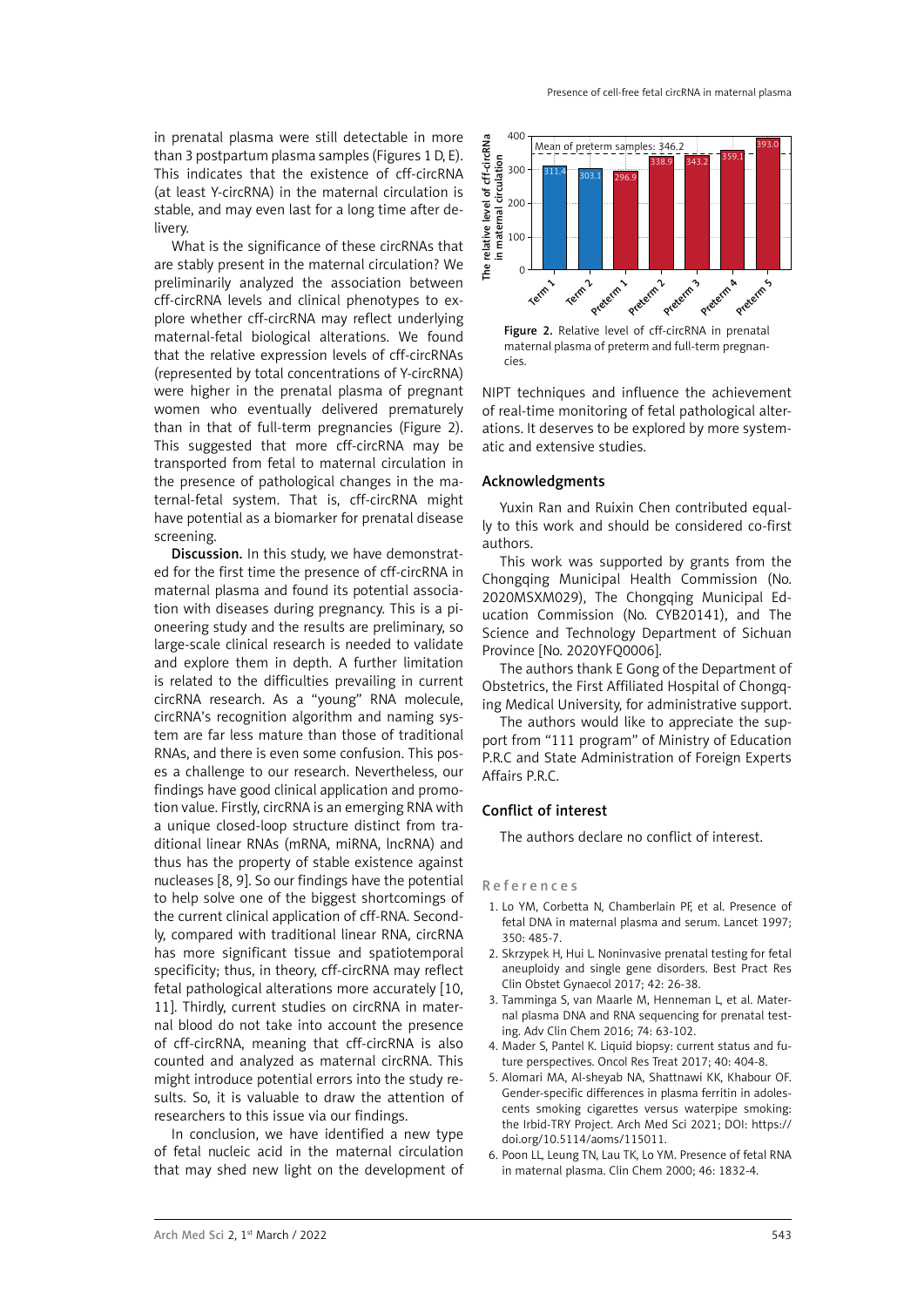What is the significance of these circRNAs that are stably present in the maternal circulation? We preliminarily analyzed the association between cff-circRNA levels and clinical phenotypes to explore whether cff-circRNA may reflect underlying maternal-fetal biological alterations. We found that the relative expression levels of cff-circRNAs (represented by total concentrations of Y-circRNA) were higher in the prenatal plasma of pregnant women who eventually delivered prematurely than in that of full-term pregnancies (Figure 2). This suggested that more cff-circRNA may be transported from fetal to maternal circulation in the presence of pathological changes in the maternal-fetal system. That is, cff-circRNA might have potential as a biomarker for prenatal disease screening.

Discussion. In this study, we have demonstrated for the first time the presence of cff-circRNA in maternal plasma and found its potential association with diseases during pregnancy. This is a pioneering study and the results are preliminary, so large-scale clinical research is needed to validate and explore them in depth. A further limitation is related to the difficulties prevailing in current circRNA research. As a "young" RNA molecule, circRNA's recognition algorithm and naming system are far less mature than those of traditional RNAs, and there is even some confusion. This poses a challenge to our research. Nevertheless, our findings have good clinical application and promotion value. Firstly, circRNA is an emerging RNA with a unique closed-loop structure distinct from traditional linear RNAs (mRNA, miRNA, lncRNA) and thus has the property of stable existence against nucleases [8, 9]. So our findings have the potential to help solve one of the biggest shortcomings of the current clinical application of cff-RNA. Secondly, compared with traditional linear RNA, circRNA has more significant tissue and spatiotemporal specificity; thus, in theory, cff-circRNA may reflect fetal pathological alterations more accurately [10, 11]. Thirdly, current studies on circRNA in maternal blood do not take into account the presence of cff-circRNA, meaning that cff-circRNA is also counted and analyzed as maternal circRNA. This might introduce potential errors into the study results. So, it is valuable to draw the attention of researchers to this issue via our findings.

In conclusion, we have identified a new type of fetal nucleic acid in the maternal circulation that may shed new light on the development of



Figure 2. Relative level of cff-circRNA in prenatal maternal plasma of preterm and full-term pregnancies.

NIPT techniques and influence the achievement of real-time monitoring of fetal pathological alterations. It deserves to be explored by more systematic and extensive studies.

# Acknowledgments

Yuxin Ran and Ruixin Chen contributed equally to this work and should be considered co-first authors.

This work was supported by grants from the Chongqing Municipal Health Commission (No. 2020MSXM029), The Chongqing Municipal Education Commission (No. CYB20141), and The Science and Technology Department of Sichuan Province [No. 2020YFQ0006].

The authors thank E Gong of the Department of Obstetrics, the First Affiliated Hospital of Chongqing Medical University, for administrative support.

The authors would like to appreciate the support from "111 program" of Ministry of Education P.R.C and State Administration of Foreign Experts Affairs P.R.C.

# Conflict of interest

The authors declare no conflict of interest.

### R e f e r e n c e s

- 1. Lo YM, Corbetta N, Chamberlain PF, et al. Presence of fetal DNA in maternal plasma and serum. Lancet 1997; 350: 485-7.
- 2. Skrzypek H, Hui L. Noninvasive prenatal testing for fetal aneuploidy and single gene disorders. Best Pract Res Clin Obstet Gynaecol 2017; 42: 26-38.
- 3. Tamminga S, van Maarle M, Henneman L, et al. Maternal plasma DNA and RNA sequencing for prenatal testing. Adv Clin Chem 2016; 74: 63-102.
- 4. Mader S, Pantel K. Liquid biopsy: current status and future perspectives. Oncol Res Treat 2017; 40: 404-8.
- 5. Alomari MA, Al-sheyab NA, Shattnawi KK, Khabour OF. Gender-specific differences in plasma ferritin in adolescents smoking cigarettes versus waterpipe smoking: the Irbid-TRY Project. Arch Med Sci 2021; [DOI: https://](https://doi.org/10.5114/aoms/115011) [doi.org/10.5114/aoms/115011](https://doi.org/10.5114/aoms/115011).
- 6. Poon LL, Leung TN, Lau TK, Lo YM. Presence of fetal RNA in maternal plasma. Clin Chem 2000; 46: 1832-4.